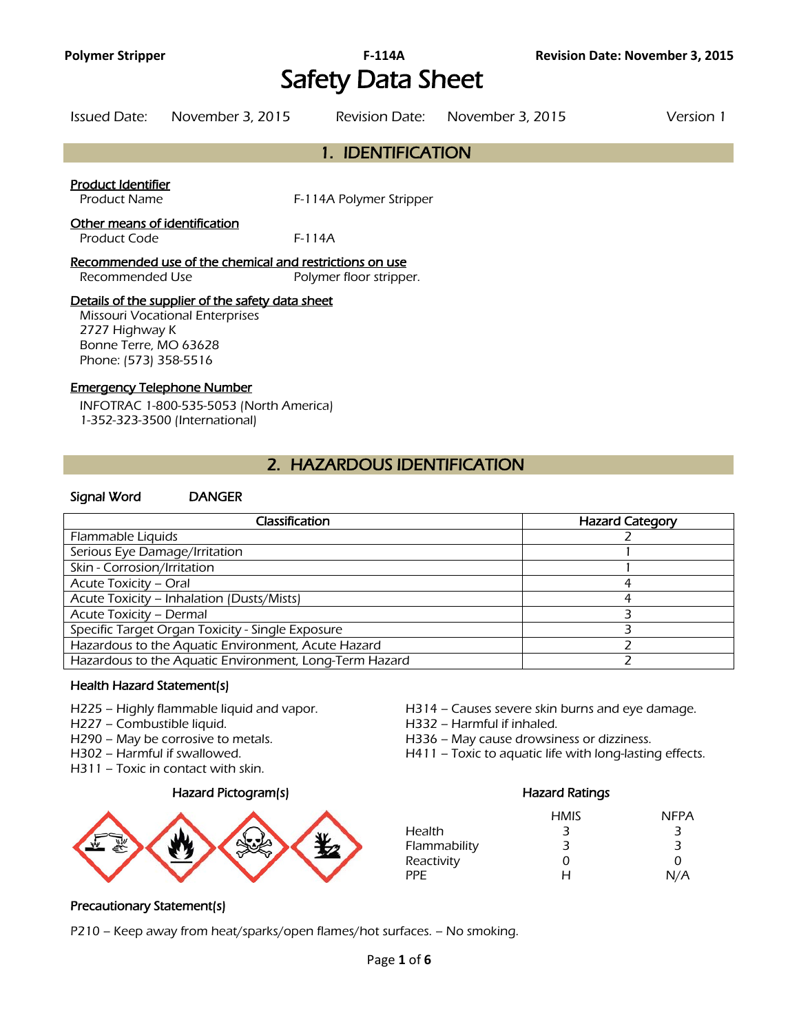# **Polymer Stripper F-114A Revision Date: November 3, 2015** Safety Data Sheet

| Issued Date:                       | November 3, 2015 | Revision Date:          | November 3, 2015 | Version 1 |
|------------------------------------|------------------|-------------------------|------------------|-----------|
|                                    |                  | 1. IDENTIFICATION       |                  |           |
| Product Identifier<br>Product Name |                  | F-114A Polymer Stripper |                  |           |

### Other means of identification

Product Code F-114A

Recommended use of the chemical and restrictions on use Recommended Use Polymer floor stripper.

### Details of the supplier of the safety data sheet

Missouri Vocational Enterprises 2727 Highway K Bonne Terre, MO 63628 Phone: (573) 358-5516

## Emergency Telephone Number

INFOTRAC 1-800-535-5053 (North America) 1-352-323-3500 (International)

## 2. HAZARDOUS IDENTIFICATION

### Signal Word DANGER

| Classification                                         | <b>Hazard Category</b> |
|--------------------------------------------------------|------------------------|
| Flammable Liquids                                      |                        |
| Serious Eye Damage/Irritation                          |                        |
| Skin - Corrosion/Irritation                            |                        |
| Acute Toxicity - Oral                                  |                        |
| Acute Toxicity - Inhalation (Dusts/Mists)              |                        |
| Acute Toxicity - Dermal                                |                        |
| Specific Target Organ Toxicity - Single Exposure       |                        |
| Hazardous to the Aquatic Environment, Acute Hazard     |                        |
| Hazardous to the Aquatic Environment, Long-Term Hazard |                        |
|                                                        |                        |

## Health Hazard Statement(s)

- 
- H227 Combustible liquid.

- 
- H311 Toxic in contact with skin.

## Hazard Pictogram(s) extending the extending Hazard Ratings



- H225 Highly flammable liquid and vapor. H314 Causes severe skin burns and eye damage.<br>H227 Combustible liquid. H332 Harmful if inhaled.
	-
- H290 May be corrosive to metals. H336 May cause drowsiness or dizziness.
- H302 Harmful if swallowed. H411 Toxic to aquatic life with long-lasting effects.

|              | <b>HMIS</b> | <b>NFPA</b> |
|--------------|-------------|-------------|
| Health       | 3           | 3           |
| Flammability | 3           | З           |
| Reactivity   | O           | 0           |
| PPF.         | н           | N/A         |

## Precautionary Statement(s)

P210 – Keep away from heat/sparks/open flames/hot surfaces. – No smoking.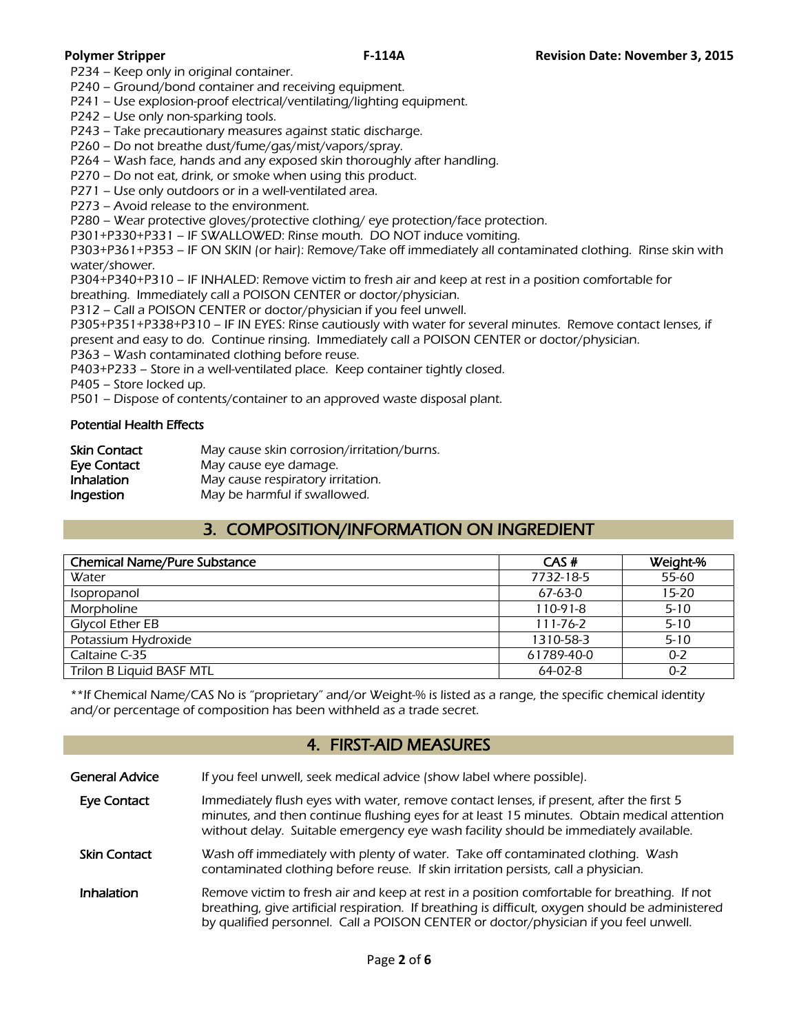P234 – Keep only in original container.

P240 – Ground/bond container and receiving equipment.

P241 – Use explosion-proof electrical/ventilating/lighting equipment.

P242 – Use only non-sparking tools.

P243 – Take precautionary measures against static discharge.

P260 – Do not breathe dust/fume/gas/mist/vapors/spray.

P264 – Wash face, hands and any exposed skin thoroughly after handling.

P270 – Do not eat, drink, or smoke when using this product.

P271 – Use only outdoors or in a well-ventilated area.

P273 – Avoid release to the environment.

P280 – Wear protective gloves/protective clothing/ eye protection/face protection.

P301+P330+P331 – IF SWALLOWED: Rinse mouth. DO NOT induce vomiting.

P303+P361+P353 – IF ON SKIN (or hair): Remove/Take off immediately all contaminated clothing. Rinse skin with water/shower.

P304+P340+P310 – IF INHALED: Remove victim to fresh air and keep at rest in a position comfortable for

breathing. Immediately call a POISON CENTER or doctor/physician.

P312 – Call a POISON CENTER or doctor/physician if you feel unwell.

P305+P351+P338+P310 – IF IN EYES: Rinse cautiously with water for several minutes. Remove contact lenses, if present and easy to do. Continue rinsing. Immediately call a POISON CENTER or doctor/physician.

P363 – Wash contaminated clothing before reuse.

P403+P233 – Store in a well-ventilated place. Keep container tightly closed.

P405 – Store locked up.

P501 – Dispose of contents/container to an approved waste disposal plant.

### Potential Health Effects

| <b>Skin Contact</b> | May cause skin corrosion/irritation/burns. |
|---------------------|--------------------------------------------|
| Eye Contact         | May cause eye damage.                      |
| Inhalation          | May cause respiratory irritation.          |
| Ingestion           | May be harmful if swallowed.               |

## 3. COMPOSITION/INFORMATION ON INGREDIENT

| CAS#           | Weight-% |
|----------------|----------|
| 7732-18-5      | 55-60    |
| $67-63-0$      | $15-20$  |
| $110-91-8$     | $5 - 10$ |
| $111 - 76 - 2$ | $5 - 10$ |
| 1310-58-3      | $5 - 10$ |
| 61789-40-0     | $0 - 2$  |
| $64-02-8$      | $0 - 2$  |
|                |          |

\*\*If Chemical Name/CAS No is "proprietary" and/or Weight-% is listed as a range, the specific chemical identity and/or percentage of composition has been withheld as a trade secret.

## 4. FIRST-AID MEASURES

| General Advice | If you feel unwell, seek medical advice (show label where possible). |
|----------------|----------------------------------------------------------------------|
|                |                                                                      |

- Eye Contact Immediately flush eyes with water, remove contact lenses, if present, after the first 5 minutes, and then continue flushing eyes for at least 15 minutes. Obtain medical attention without delay. Suitable emergency eye wash facility should be immediately available.
- Skin Contact Wash off immediately with plenty of water. Take off contaminated clothing. Wash contaminated clothing before reuse. If skin irritation persists, call a physician.
- Inhalation Remove victim to fresh air and keep at rest in a position comfortable for breathing. If not breathing, give artificial respiration. If breathing is difficult, oxygen should be administered by qualified personnel. Call a POISON CENTER or doctor/physician if you feel unwell.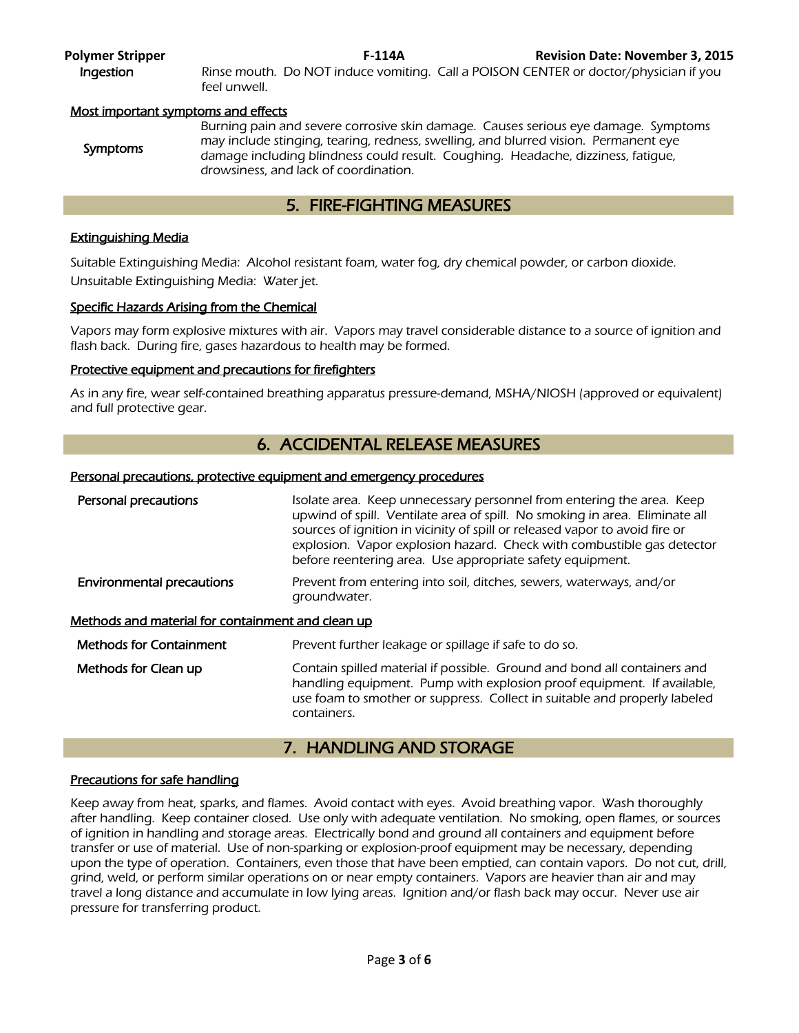**Ingestion** Rinse mouth. Do NOT induce vomiting. Call a POISON CENTER or doctor/physician if you feel unwell.

### Most important symptoms and effects

## 5. FIRE-FIGHTING MEASURES

## Extinguishing Media

Suitable Extinguishing Media: Alcohol resistant foam, water fog, dry chemical powder, or carbon dioxide. Unsuitable Extinguishing Media: Water jet.

### Specific Hazards Arising from the Chemical

Vapors may form explosive mixtures with air. Vapors may travel considerable distance to a source of ignition and flash back. During fire, gases hazardous to health may be formed.

## Protective equipment and precautions for firefighters

As in any fire, wear self-contained breathing apparatus pressure-demand, MSHA/NIOSH (approved or equivalent) and full protective gear.

## 6. ACCIDENTAL RELEASE MEASURES

### Personal precautions, protective equipment and emergency procedures

| Personal precautions                                     | Isolate area. Keep unnecessary personnel from entering the area. Keep<br>upwind of spill. Ventilate area of spill. No smoking in area. Eliminate all<br>sources of ignition in vicinity of spill or released vapor to avoid fire or<br>explosion. Vapor explosion hazard. Check with combustible gas detector<br>before reentering area. Use appropriate safety equipment. |
|----------------------------------------------------------|----------------------------------------------------------------------------------------------------------------------------------------------------------------------------------------------------------------------------------------------------------------------------------------------------------------------------------------------------------------------------|
| <b>Environmental precautions</b>                         | Prevent from entering into soil, ditches, sewers, waterways, and/or<br>groundwater.                                                                                                                                                                                                                                                                                        |
| <u>Methods and material for containment and clean up</u> |                                                                                                                                                                                                                                                                                                                                                                            |
| <b>Methods for Containment</b>                           | Prevent further leakage or spillage if safe to do so.                                                                                                                                                                                                                                                                                                                      |
| Methods for Clean up                                     | Contain spilled material if possible. Ground and bond all containers and<br>handling equipment. Pump with explosion proof equipment. If available,<br>use foam to smother or suppress. Collect in suitable and properly labeled<br>containers.                                                                                                                             |

## 7. HANDLING AND STORAGE

### Precautions for safe handling

Keep away from heat, sparks, and flames. Avoid contact with eyes. Avoid breathing vapor. Wash thoroughly after handling. Keep container closed. Use only with adequate ventilation. No smoking, open flames, or sources of ignition in handling and storage areas. Electrically bond and ground all containers and equipment before transfer or use of material. Use of non-sparking or explosion-proof equipment may be necessary, depending upon the type of operation. Containers, even those that have been emptied, can contain vapors. Do not cut, drill, grind, weld, or perform similar operations on or near empty containers. Vapors are heavier than air and may travel a long distance and accumulate in low lying areas. Ignition and/or flash back may occur. Never use air pressure for transferring product.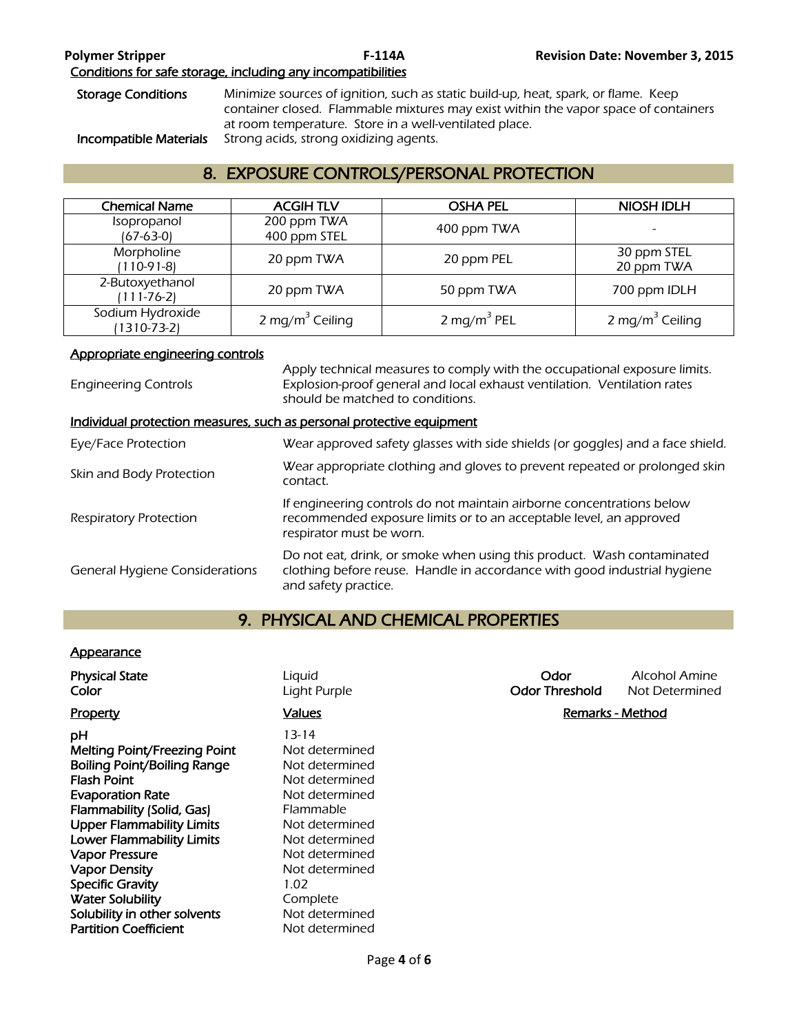Storage Conditions Minimize sources of ignition, such as static build-up, heat, spark, or flame. Keep container closed. Flammable mixtures may exist within the vapor space of containers at room temperature. Store in a well-ventilated place. Incompatible Materials Strong acids, strong oxidizing agents.

## 8. EXPOSURE CONTROLS/PERSONAL PROTECTION

| <b>Chemical Name</b>                  | <b>ACGIHTLV</b>             | <b>OSHA PEL</b>         | <b>NIOSH IDLH</b>           |
|---------------------------------------|-----------------------------|-------------------------|-----------------------------|
| Isopropanol<br>(67-63-0)              | 200 ppm TWA<br>400 ppm STEL | 400 ppm TWA             |                             |
| Morpholine<br>(110-91-8)              | 20 ppm TWA                  | 20 ppm PEL              | 30 ppm STEL<br>20 ppm TWA   |
| 2-Butoxyethanol<br>(111-76-2)         | 20 ppm TWA                  | 50 ppm TWA              | 700 ppm IDLH                |
| Sodium Hydroxide<br>$(1310 - 73 - 2)$ | 2 mg/m <sup>3</sup> Ceiling | 2 mg/m <sup>3</sup> PEL | 2 mg/m <sup>3</sup> Ceiling |

## Appropriate engineering controls

Engineering Controls Apply technical measures to comply with the occupational exposure limits. Explosion-proof general and local exhaust ventilation. Ventilation rates should be matched to conditions. Individual protection measures, such as personal protective equipment Eye/Face Protection Wear approved safety glasses with side shields (or goggles) and a face shield. Skin and Body Protection Wear appropriate clothing and gloves to prevent repeated or prolonged skin contact. Respiratory Protection If engineering controls do not maintain airborne concentrations below recommended exposure limits or to an acceptable level, an approved respirator must be worn. General Hygiene Considerations Do not eat, drink, or smoke when using this product. Wash contaminated clothing before reuse. Handle in accordance with good industrial hygiene and safety practice.

## 9. PHYSICAL AND CHEMICAL PROPERTIES

## **Appearance**

| <b>Physical State</b><br>Color                                                                                                                                                                                                                                                                                                                                                                               | Liquid<br>Light Purple                                                                                                                                                                                                                | Odor<br><b>Odor Threshold</b> | Alcohol Amine<br>Not Determined |
|--------------------------------------------------------------------------------------------------------------------------------------------------------------------------------------------------------------------------------------------------------------------------------------------------------------------------------------------------------------------------------------------------------------|---------------------------------------------------------------------------------------------------------------------------------------------------------------------------------------------------------------------------------------|-------------------------------|---------------------------------|
| Property                                                                                                                                                                                                                                                                                                                                                                                                     | <b>Values</b>                                                                                                                                                                                                                         | <b>Remarks - Method</b>       |                                 |
| рH<br><b>Melting Point/Freezing Point</b><br><b>Boiling Point/Boiling Range</b><br><b>Flash Point</b><br><b>Evaporation Rate</b><br>Flammability (Solid, Gas)<br><b>Upper Flammability Limits</b><br><b>Lower Flammability Limits</b><br><b>Vapor Pressure</b><br><b>Vapor Density</b><br><b>Specific Gravity</b><br><b>Water Solubility</b><br>Solubility in other solvents<br><b>Partition Coefficient</b> | $13 - 14$<br>Not determined<br>Not determined<br>Not determined<br>Not determined<br><b>Flammable</b><br>Not determined<br>Not determined<br>Not determined<br>Not determined<br>1.02<br>Complete<br>Not determined<br>Not determined |                               |                                 |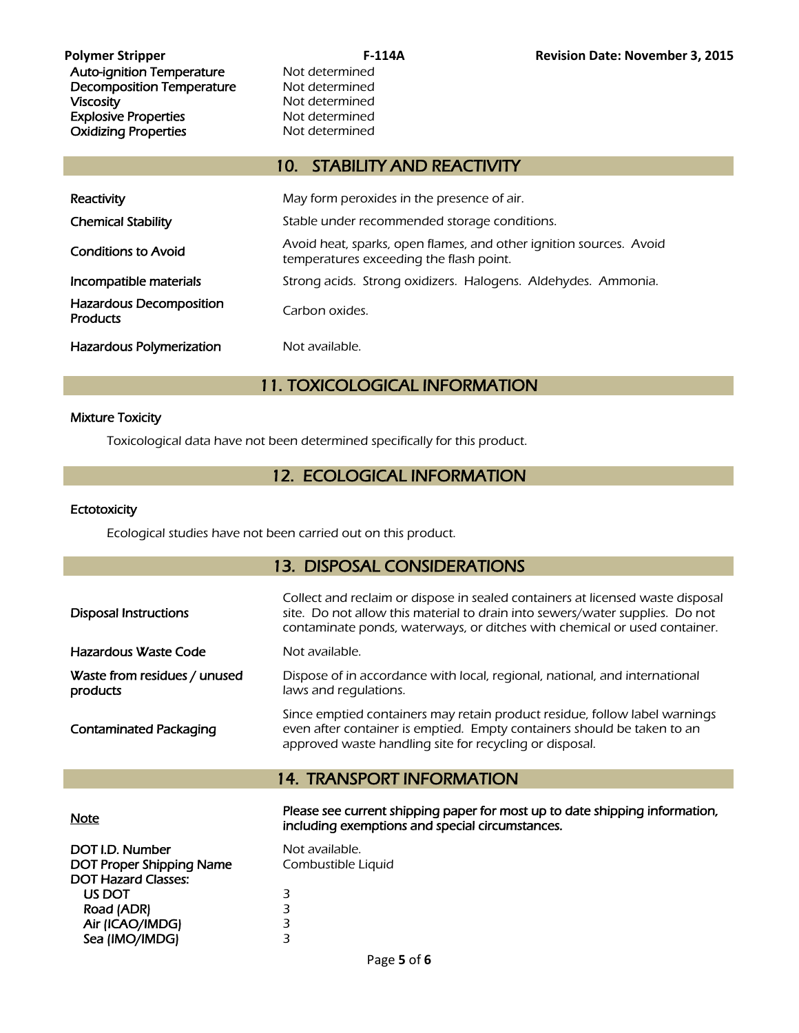Auto-ignition Temperature Mot determined Decomposition Temperature Not determined Viscosity<br>
Explosive Properties<br>
Explosive Properties<br>
Not determined Explosive Properties Oxidizing Properties Not determined

## 10. STABILITY AND REACTIVITY

| Reactivity                                        | May form peroxides in the presence of air.                                                                    |  |
|---------------------------------------------------|---------------------------------------------------------------------------------------------------------------|--|
| <b>Chemical Stability</b>                         | Stable under recommended storage conditions.                                                                  |  |
| <b>Conditions to Avoid</b>                        | Avoid heat, sparks, open flames, and other ignition sources. Avoid<br>temperatures exceeding the flash point. |  |
| Incompatible materials                            | Strong acids. Strong oxidizers. Halogens. Aldehydes. Ammonia.                                                 |  |
| <b>Hazardous Decomposition</b><br><b>Products</b> | Carbon oxides.                                                                                                |  |
| <b>Hazardous Polymerization</b>                   | Not available.                                                                                                |  |

## 11. TOXICOLOGICAL INFORMATION

## Mixture Toxicity

Toxicological data have not been determined specifically for this product.

## 12. ECOLOGICAL INFORMATION

## **Ectotoxicity**

Ecological studies have not been carried out on this product.

## 13. DISPOSAL CONSIDERATIONS

| <b>Disposal Instructions</b>             | Collect and reclaim or dispose in sealed containers at licensed waste disposal<br>site. Do not allow this material to drain into sewers/water supplies. Do not<br>contaminate ponds, waterways, or ditches with chemical or used container. |
|------------------------------------------|---------------------------------------------------------------------------------------------------------------------------------------------------------------------------------------------------------------------------------------------|
| Hazardous Waste Code                     | Not available.                                                                                                                                                                                                                              |
| Waste from residues / unused<br>products | Dispose of in accordance with local, regional, national, and international<br>laws and regulations.                                                                                                                                         |
| <b>Contaminated Packaging</b>            | Since emptied containers may retain product residue, follow label warnings<br>even after container is emptied. Empty containers should be taken to an<br>approved waste handling site for recycling or disposal.                            |
|                                          | <b>14. TRANSPORT INFORMATION</b>                                                                                                                                                                                                            |
| <b>Note</b>                              | Please see current shipping paper for most up to date shipping information,<br>including exemptions and special circumstances.                                                                                                              |
| DOT I.D. Number                          | Not available.                                                                                                                                                                                                                              |

| DOT I.D. Number                 | N |
|---------------------------------|---|
| <b>DOT Proper Shipping Name</b> | ٢ |
| <b>DOT Hazard Classes:</b>      |   |
| US DOT                          | 3 |
| Road (ADR)                      | З |
| Air (ICAO/IMDG)                 | 3 |
| Sea (IMO/IMDG)                  | З |

Combustible Liquid